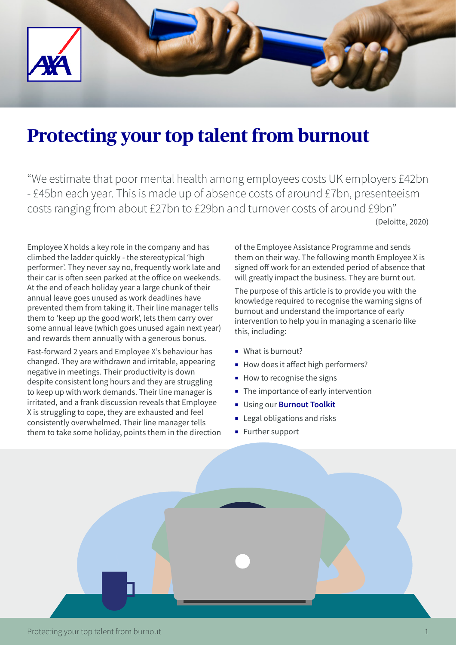

# **Protecting your top talent from burnout**

"We estimate that poor mental health among employees costs UK employers £42bn - £45bn each year. This is made up of absence costs of around £7bn, presenteeism costs ranging from about £27bn to £29bn and turnover costs of around £9bn" (Deloitte, 2020)

Employee X holds a key role in the company and has climbed the ladder quickly - the stereotypical 'high performer'. They never say no, frequently work late and their car is often seen parked at the office on weekends. At the end of each holiday year a large chunk of their annual leave goes unused as work deadlines have prevented them from taking it. Their line manager tells them to 'keep up the good work', lets them carry over some annual leave (which goes unused again next year) and rewards them annually with a generous bonus.

Fast-forward 2 years and Employee X's behaviour has changed. They are withdrawn and irritable, appearing negative in meetings. Their productivity is down despite consistent long hours and they are struggling to keep up with work demands. Their line manager is irritated, and a frank discussion reveals that Employee X is struggling to cope, they are exhausted and feel consistently overwhelmed. Their line manager tells them to take some holiday, points them in the direction

of the Employee Assistance Programme and sends them on their way. The following month Employee X is signed off work for an extended period of absence that will greatly impact the business. They are burnt out.

The purpose of this article is to provide you with the knowledge required to recognise the warning signs of burnout and understand the importance of early intervention to help you in managing a scenario like this, including:

- What is burnout?
- How does it affect high performers?
- How to recognise the signs
- The importance of early intervention
- ¡ Using our **[Burnout Toolkit](https://www2.axa-insurance.co.uk/l/471271/2020-09-23/3kz77g/471271/126495/114635_1257987_PDF_Working_well_toolkit_Edition_6_Burnout_Toolkit_V3.pdf)**
- Legal obligations and risks
- **Exercise Further support**

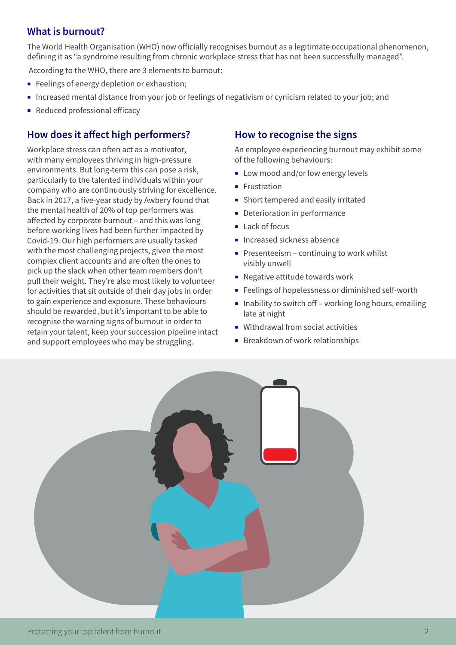#### **What is burnout?**

The World Health Organisation (WHO) now officially recognises burnout as a legitimate occupational phenomenon, defining it as "a syndrome resulting from chronic workplace stress that has not been successfully managed".

According to the WHO, there are 3 elements to burnout:

- **Exercise** Feelings of energy depletion or exhaustion;
- ¡ Increased mental distance from your job or feelings of negativism or cynicism related to your job; and
- **Reduced professional efficacy**

## **How does it affect high performers?**

Workplace stress can often act as a motivator, with many employees thriving in high-pressure environments. But long-term this can pose a risk, particularly to the talented individuals within your company who are continuously striving for excellence. Back in 2017, a five-year study by Awbery found that the mental health of 20% of top performers was affected by corporate burnout – and this was long before working lives had been further impacted by Covid-19. Our high performers are usually tasked with the most challenging projects, given the most complex client accounts and are often the ones to pick up the slack when other team members don't pull their weight. They're also most likely to volunteer for activities that sit outside of their day jobs in order to gain experience and exposure. These behaviours should be rewarded, but it's important to be able to recognise the warning signs of burnout in order to retain your talent, keep your succession pipeline intact and support employees who may be struggling.

#### **How to recognise the signs**

An employee experiencing burnout may exhibit some of the following behaviours:

- Low mood and/or low energy levels
- **•** Frustration
- **Short tempered and easily irritated**
- **Deterioration in performance**
- Lack of focus
- **·** Increased sickness absence
- $\blacksquare$  Presenteeism continuing to work whilst visibly unwell
- **Negative attitude towards work**
- Feelings of hopelessness or diminished self-worth
- $\blacksquare$  Inability to switch off working long hours, emailing late at night
- Withdrawal from social activities
- **■** Breakdown of work relationships